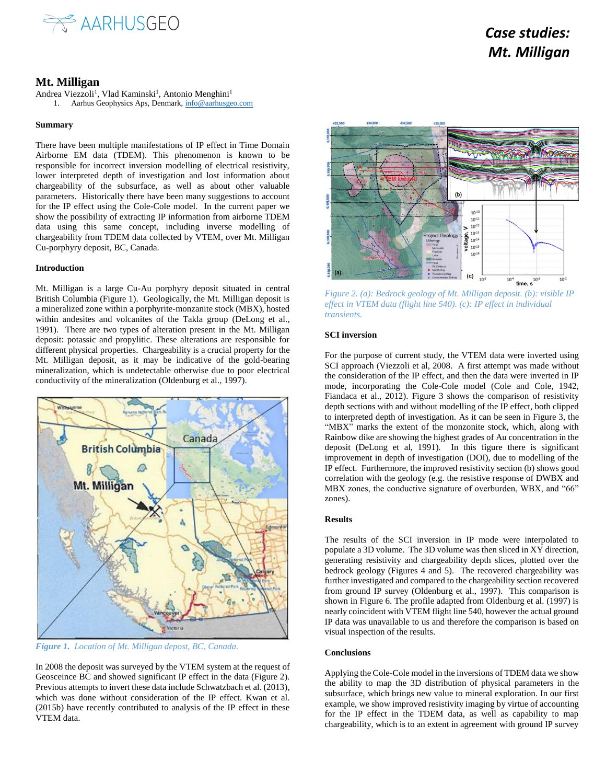

# *Case studies: Mt. Milligan*

# **Mt. Milligan**

Andrea Viezzoli<sup>1</sup>, Vlad Kaminski<sup>1</sup>, Antonio Menghini<sup>1</sup> 1. Aarhus Geophysics Aps, Denmark[, info@aarhusgeo.com](mailto:info@aarhusgeo.com)

# **Summary**

There have been multiple manifestations of IP effect in Time Domain Airborne EM data (TDEM). This phenomenon is known to be responsible for incorrect inversion modelling of electrical resistivity, lower interpreted depth of investigation and lost information about chargeability of the subsurface, as well as about other valuable parameters. Historically there have been many suggestions to account for the IP effect using the Cole-Cole model. In the current paper we show the possibility of extracting IP information from airborne TDEM data using this same concept, including inverse modelling of chargeability from TDEM data collected by VTEM, over Mt. Milligan Cu-porphyry deposit, BC, Canada.

## **Introduction**

Mt. Milligan is a large Cu-Au porphyry deposit situated in central British Columbia (Figure 1). Geologically, the Mt. Milligan deposit is a mineralized zone within a porphyrite-monzanite stock (MBX), hosted within andesites and volcanites of the Takla group (DeLong et al., 1991). There are two types of alteration present in the Mt. Milligan deposit: potassic and propylitic. These alterations are responsible for different physical properties. Chargeability is a crucial property for the Mt. Milligan deposit, as it may be indicative of the gold-bearing mineralization, which is undetectable otherwise due to poor electrical conductivity of the mineralization (Oldenburg et al., 1997).



*Figure 1. Location of Mt. Milligan depost, BC, Canada.*

In 2008 the deposit was surveyed by the VTEM system at the request of Geosceince BC and showed significant IP effect in the data (Figure 2). Previous attempts to invert these data include Schwatzbach et al. (2013), which was done without consideration of the IP effect. Kwan et al. (2015b) have recently contributed to analysis of the IP effect in these VTEM data.



*Figure 2. (a): Bedrock geology of Mt. Milligan deposit. (b): visible IP effect in VTEM data (flight line 540). (c): IP effect in individual transients.*

#### **SCI inversion**

For the purpose of current study, the VTEM data were inverted using SCI approach (Viezzoli et al, 2008. A first attempt was made without the consideration of the IP effect, and then the data were inverted in IP mode, incorporating the Cole-Cole model (Cole and Cole, 1942, Fiandaca et al., 2012). Figure 3 shows the comparison of resistivity depth sections with and without modelling of the IP effect, both clipped to interpreted depth of investigation. As it can be seen in Figure 3, the "MBX" marks the extent of the monzonite stock, which, along with Rainbow dike are showing the highest grades of Au concentration in the deposit (DeLong et al, 1991). In this figure there is significant improvement in depth of investigation (DOI), due to modelling of the IP effect. Furthermore, the improved resistivity section (b) shows good correlation with the geology (e.g. the resistive response of DWBX and MBX zones, the conductive signature of overburden, WBX, and "66" zones).

### **Results**

The results of the SCI inversion in IP mode were interpolated to populate a 3D volume. The 3D volume was then sliced in XY direction, generating resistivity and chargeability depth slices, plotted over the bedrock geology (Figures 4 and 5). The recovered chargeability was further investigated and compared to the chargeability section recovered from ground IP survey (Oldenburg et al., 1997). This comparison is shown in Figure 6. The profile adapted from Oldenburg et al. (1997) is nearly coincident with VTEM flight line 540, however the actual ground IP data was unavailable to us and therefore the comparison is based on visual inspection of the results.

#### **Conclusions**

Applying the Cole-Cole model in the inversions of TDEM data we show the ability to map the 3D distribution of physical parameters in the subsurface, which brings new value to mineral exploration. In our first example, we show improved resistivity imaging by virtue of accounting for the IP effect in the TDEM data, as well as capability to map chargeability, which is to an extent in agreement with ground IP survey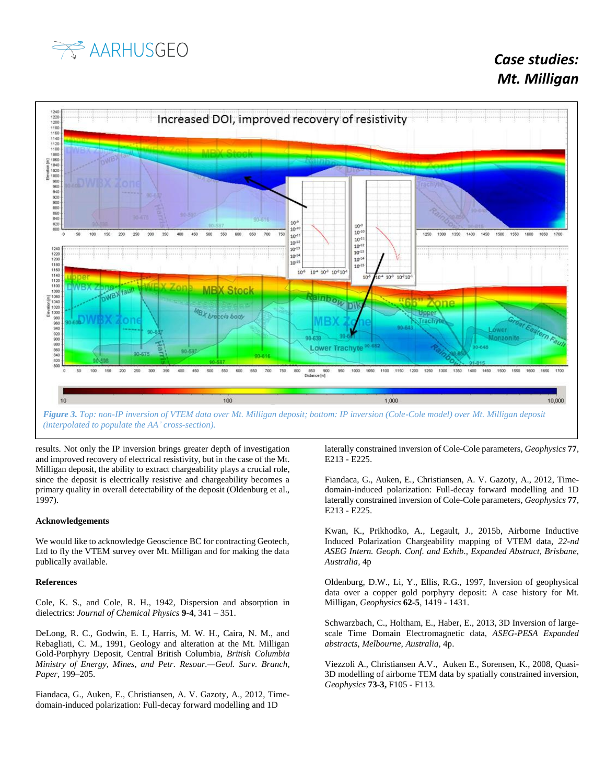



*(interpolated to populate the AA' cross-section).*

results. Not only the IP inversion brings greater depth of investigation and improved recovery of electrical resistivity, but in the case of the Mt. Milligan deposit, the ability to extract chargeability plays a crucial role, since the deposit is electrically resistive and chargeability becomes a primary quality in overall detectability of the deposit (Oldenburg et al., 1997).

### **Acknowledgements**

We would like to acknowledge Geoscience BC for contracting Geotech, Ltd to fly the VTEM survey over Mt. Milligan and for making the data publically available.

#### **References**

Cole, K. S., and Cole, R. H., 1942, Dispersion and absorption in dielectrics: *Journal of Chemical Physics* **9-4**, 341 – 351.

DeLong, R. C., Godwin, E. I., Harris, M. W. H., Caira, N. M., and Rebagliati, C. M., 1991, Geology and alteration at the Mt. Milligan Gold-Porphyry Deposit, Central British Columbia, *British Columbia Ministry of Energy, Mines, and Petr. Resour.—Geol. Surv. Branch, Paper,* 199–205.

Fiandaca, G., Auken, E., Christiansen, A. V. Gazoty, A., 2012, Timedomain-induced polarization: Full-decay forward modelling and 1D

laterally constrained inversion of Cole-Cole parameters, *Geophysics* **77**, E213 - E225.

Fiandaca, G., Auken, E., Christiansen, A. V. Gazoty, A., 2012, Timedomain-induced polarization: Full-decay forward modelling and 1D laterally constrained inversion of Cole-Cole parameters, *Geophysics* **77**, E213 - E225.

Kwan, K., Prikhodko, A., Legault, J., 2015b, Airborne Inductive Induced Polarization Chargeability mapping of VTEM data, *22-nd ASEG Intern. Geoph. Conf. and Exhib., Expanded Abstract, Brisbane, Australia,* 4p

Oldenburg, D.W., Li, Y., Ellis, R.G., 1997, Inversion of geophysical data over a copper gold porphyry deposit: A case history for Mt. Milligan, *Geophysics* **62-5**, 1419 - 1431.

Schwarzbach, C., Holtham, E., Haber, E., 2013, 3D Inversion of largescale Time Domain Electromagnetic data, *ASEG-PESA Expanded abstracts, Melbourne, Australia*, 4p.

Viezzoli A., Christiansen A.V., Auken E., Sorensen, K., 2008, Quasi-3D modelling of airborne TEM data by spatially constrained inversion, *Geophysics* **73-3,** F105 - F113.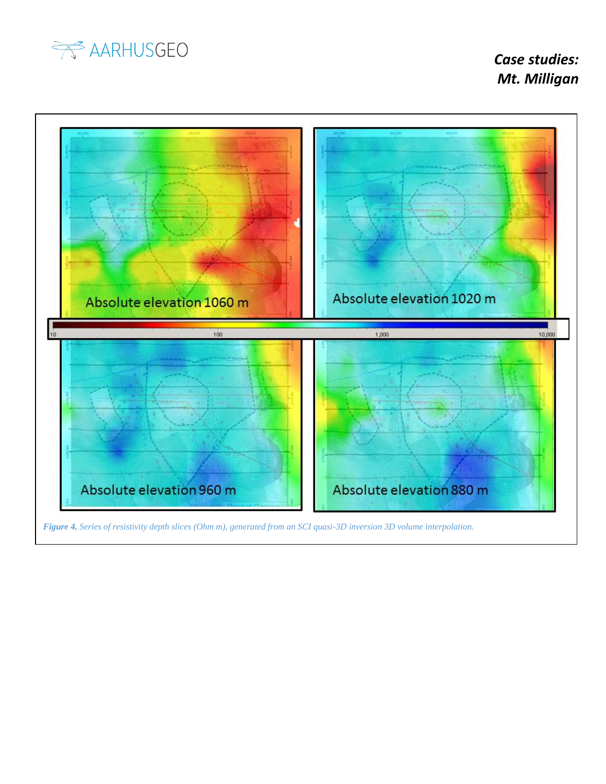

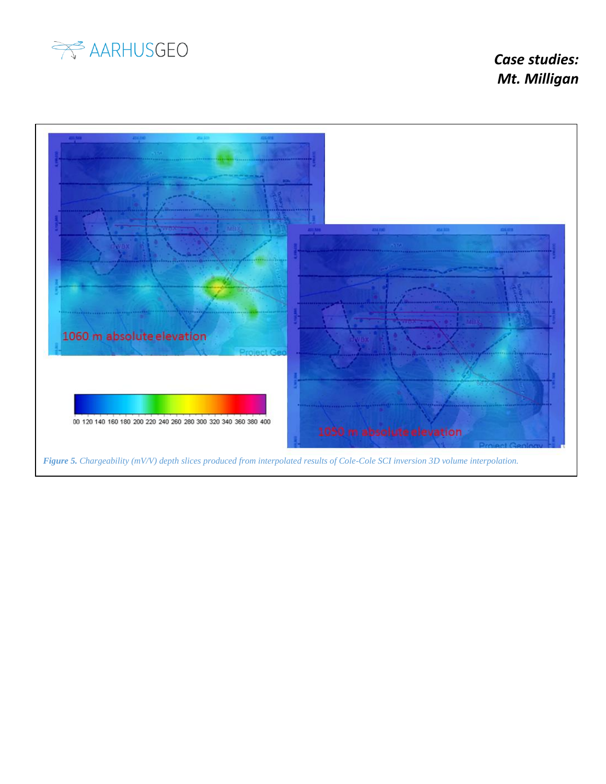

 *Case studies: Mt. Milligan*